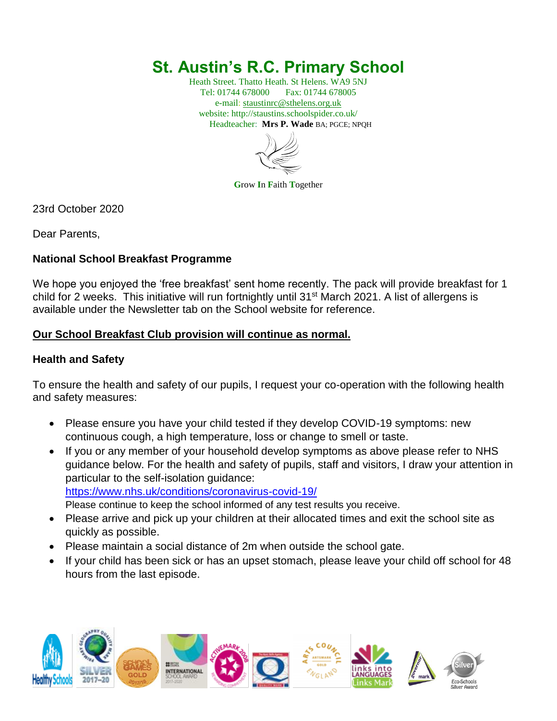# **St. Austin's R.C. Primary School**

Heath Street. Thatto Heath. St Helens. WA9 5NJ Tel: 01744 678000 Fax: 01744 678005 e-mail: [staustinrc@sthelens.org.uk](mailto:staustinrc@sthelens.org.uk) website: http://staustins.schoolspider.co.uk/ Headteacher: **Mrs P. Wade** BA; PGCE; NPQH



**G**row **I**n **F**aith **T**ogether

23rd October 2020

Dear Parents,

## **National School Breakfast Programme**

We hope you enjoyed the 'free breakfast' sent home recently. The pack will provide breakfast for 1 child for 2 weeks. This initiative will run fortnightly until 31<sup>st</sup> March 2021. A list of allergens is available under the Newsletter tab on the School website for reference.

## **Our School Breakfast Club provision will continue as normal.**

## **Health and Safety**

To ensure the health and safety of our pupils, I request your co-operation with the following health and safety measures:

- Please ensure you have your child tested if they develop COVID-19 symptoms: new continuous cough, a high temperature, loss or change to smell or taste.
- If you or any member of your household develop symptoms as above please refer to NHS guidance below. For the health and safety of pupils, staff and visitors, I draw your attention in particular to the self-isolation guidance: <https://www.nhs.uk/conditions/coronavirus-covid-19/>
	- Please continue to keep the school informed of any test results you receive.
- Please arrive and pick up your children at their allocated times and exit the school site as quickly as possible.
- Please maintain a social distance of 2m when outside the school gate.
- If your child has been sick or has an upset stomach, please leave your child off school for 48 hours from the last episode.